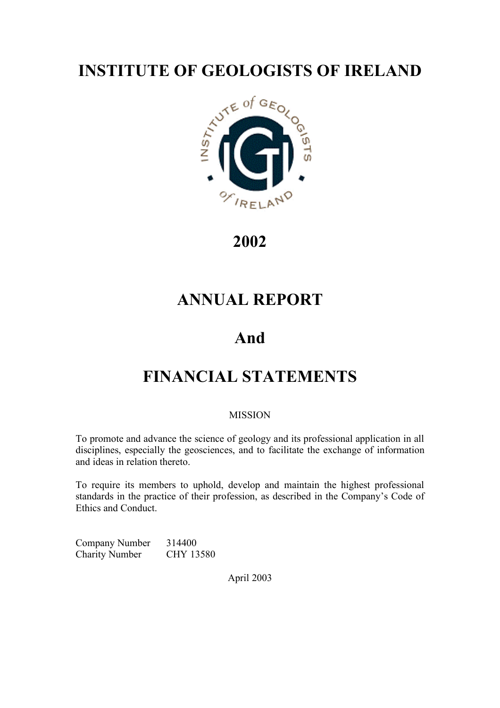

**2002**

# **ANNUAL REPORT**

# **And**

# **FINANCIAL STATEMENTS**

# **MISSION**

To promote and advance the science of geology and its professional application in all disciplines, especially the geosciences, and to facilitate the exchange of information and ideas in relation thereto.

To require its members to uphold, develop and maintain the highest professional standards in the practice of their profession, as described in the Company's Code of Ethics and Conduct.

Company Number 314400 Charity Number CHY 13580

April 2003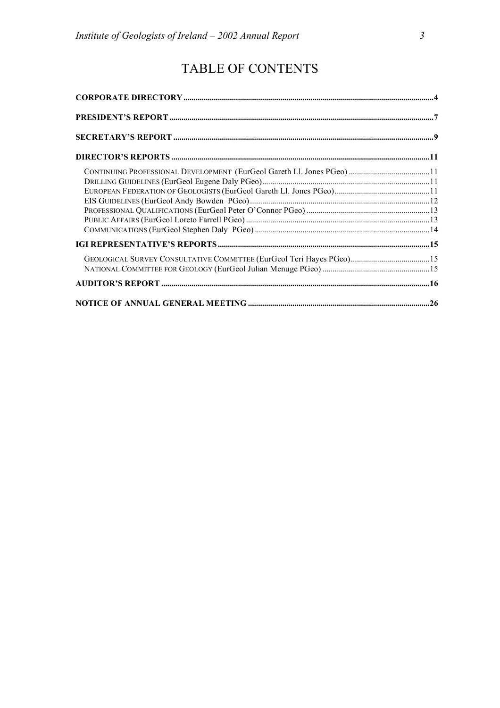# TABLE OF CONTENTS

| GEOLOGICAL SURVEY CONSULTATIVE COMMITTEE (EurGeol Teri Hayes PGeo)15 |  |
|----------------------------------------------------------------------|--|
|                                                                      |  |
|                                                                      |  |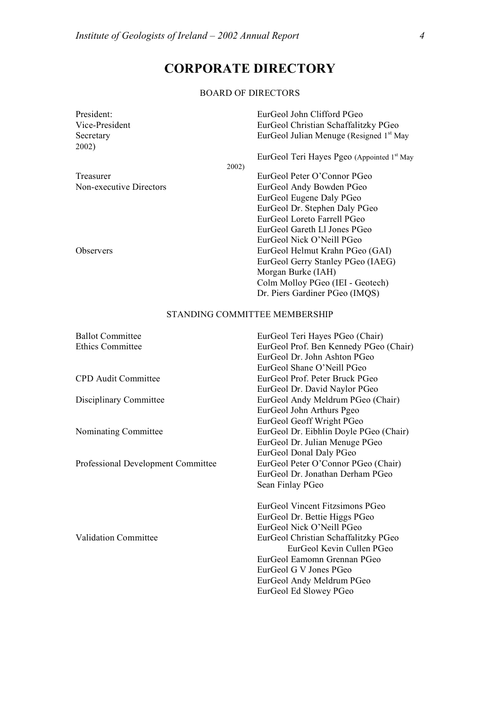# **CORPORATE DIRECTORY**

#### BOARD OF DIRECTORS

| President:              |       | EurGeol John Clifford PGeo                             |
|-------------------------|-------|--------------------------------------------------------|
| Vice-President          |       | EurGeol Christian Schaffalitzky PGeo                   |
| Secretary               |       | EurGeol Julian Menuge (Resigned 1 <sup>st</sup> May    |
| 2002)                   |       |                                                        |
|                         |       | EurGeol Teri Hayes Pgeo (Appointed 1 <sup>st</sup> May |
|                         | 2002) |                                                        |
| Treasurer               |       | EurGeol Peter O'Connor PGeo                            |
| Non-executive Directors |       | EurGeol Andy Bowden PGeo                               |
|                         |       | EurGeol Eugene Daly PGeo                               |
|                         |       | EurGeol Dr. Stephen Daly PGeo                          |
|                         |       | EurGeol Loreto Farrell PGeo                            |
|                         |       | EurGeol Gareth Ll Jones PGeo                           |
|                         |       | EurGeol Nick O'Neill PGeo                              |
| <b>Observers</b>        |       | EurGeol Helmut Krahn PGeo (GAI)                        |
|                         |       | EurGeol Gerry Stanley PGeo (IAEG)                      |
|                         |       | Morgan Burke (IAH)                                     |
|                         |       | Colm Molloy PGeo (IEI - Geotech)                       |
|                         |       | Dr. Piers Gardiner PGeo (IMQS)                         |

#### STANDING COMMITTEE MEMBERSHIP

| <b>Ballot Committee</b>            | EurGeol Teri Hayes PGeo (Chair)        |
|------------------------------------|----------------------------------------|
| <b>Ethics Committee</b>            | EurGeol Prof. Ben Kennedy PGeo (Chair) |
|                                    | EurGeol Dr. John Ashton PGeo           |
|                                    | EurGeol Shane O'Neill PGeo             |
| <b>CPD</b> Audit Committee         | EurGeol Prof. Peter Bruck PGeo         |
|                                    | EurGeol Dr. David Naylor PGeo          |
| Disciplinary Committee             | EurGeol Andy Meldrum PGeo (Chair)      |
|                                    | EurGeol John Arthurs Pgeo              |
|                                    | EurGeol Geoff Wright PGeo              |
| Nominating Committee               | EurGeol Dr. Eibhlin Doyle PGeo (Chair) |
|                                    | EurGeol Dr. Julian Menuge PGeo         |
|                                    | EurGeol Donal Daly PGeo                |
| Professional Development Committee | EurGeol Peter O'Connor PGeo (Chair)    |
|                                    | EurGeol Dr. Jonathan Derham PGeo       |
|                                    | Sean Finlay PGeo                       |
|                                    | EurGeol Vincent Fitzsimons PGeo        |
|                                    | EurGeol Dr. Bettie Higgs PGeo          |
|                                    | EurGeol Nick O'Neill PGeo              |
| <b>Validation Committee</b>        | EurGeol Christian Schaffalitzky PGeo   |
|                                    | EurGeol Kevin Cullen PGeo              |
|                                    | EurGeol Eamomn Grennan PGeo            |
|                                    | EurGeol G V Jones PGeo                 |
|                                    | EurGeol Andy Meldrum PGeo              |
|                                    | EurGeol Ed Slowey PGeo                 |
|                                    |                                        |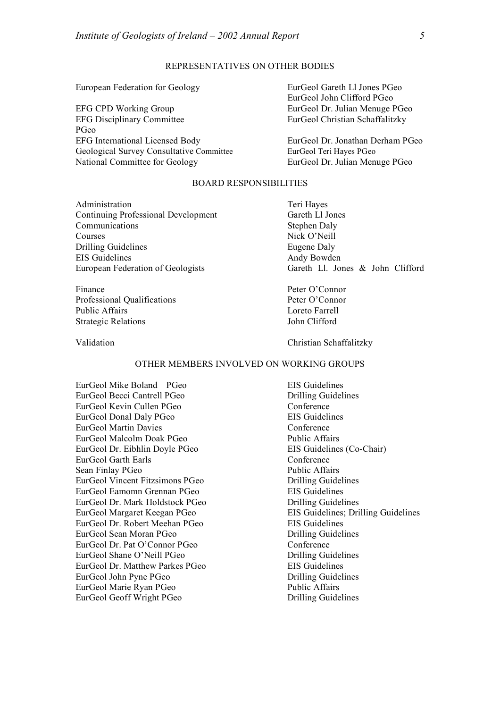#### REPRESENTATIVES ON OTHER BODIES

European Federation for Geology EurGeol Gareth Ll Jones PGeo

EFG CPD Working Group EurGeol Dr. Julian Menuge PGeo EFG Disciplinary Committee EurGeol Christian Schaffalitzky PGeo EFG International Licensed Body EurGeol Dr. Jonathan Derham PGeo Geological Survey Consultative Committee EurGeol Teri Hayes PGeo National Committee for Geology EurGeol Dr. Julian Menuge PGeo

EurGeol John Clifford PGeo

#### BOARD RESPONSIBILITIES

Administration Teri Hayes Continuing Professional Development Gareth Ll Jones Communications Stephen Daly Courses Nick O'Neill Drilling Guidelines Eugene Daly EIS Guidelines Andy Bowden

Finance Peter O'Connor Professional Qualifications Peter O'Connor Public Affairs **Loreto Farrell** Strategic Relations John Clifford

European Federation of Geologists Gareth Ll. Jones & John Clifford

Validation Christian Schaffalitzky

#### OTHER MEMBERS INVOLVED ON WORKING GROUPS

EurGeol Mike Boland PGeo EIS Guidelines EurGeol Becci Cantrell PGeo Drilling Guidelines EurGeol Kevin Cullen PGeo Conference EurGeol Donal Daly PGeo EIS Guidelines EurGeol Martin Davies Conference EurGeol Malcolm Doak PGeo<br>
Public Affairs EurGeol Dr. Eibhlin Doyle PGeo EIS Guidelines (Co-Chair) EurGeol Garth Earls Conference Sean Finlay PGeo Public Affairs EurGeol Vincent Fitzsimons PGeo Drilling Guidelines EurGeol Eamomn Grennan PGeo<br>
EIS Guidelines EurGeol Dr. Mark Holdstock PGeo Drilling Guidelines EurGeol Dr. Robert Meehan PGeo EIS Guidelines EurGeol Sean Moran PGeo Drilling Guidelines EurGeol Dr. Pat O'Connor PGeo Conference EurGeol Shane O'Neill PGeo Drilling Guidelines EurGeol Dr. Matthew Parkes PGeo EIS Guidelines EurGeol John Pyne PGeo Drilling Guidelines EurGeol Marie Ryan PGeo Public Affairs EurGeol Geoff Wright PGeo Drilling Guidelines

EurGeol Margaret Keegan PGeo EIS Guidelines; Drilling Guidelines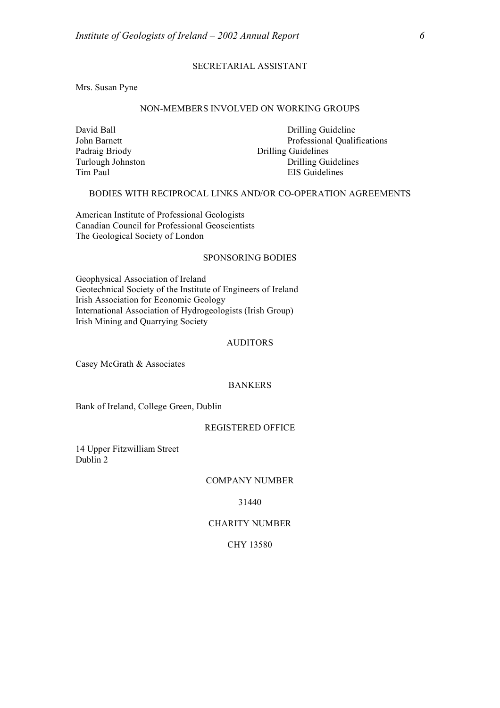#### SECRETARIAL ASSISTANT

Mrs. Susan Pyne

#### NON-MEMBERS INVOLVED ON WORKING GROUPS

Turlough Johnston<br>Tim Paul

David Ball Drilling Guideline John Barnett Professional Qualifications Padraig Briody<br>
Turlough Johnston<br>
Drilling Guidelines<br>
Drilling Guidelines EIS Guidelines

#### BODIES WITH RECIPROCAL LINKS AND/OR CO-OPERATION AGREEMENTS

American Institute of Professional Geologists Canadian Council for Professional Geoscientists The Geological Society of London

#### SPONSORING BODIES

Geophysical Association of Ireland Geotechnical Society of the Institute of Engineers of Ireland Irish Association for Economic Geology International Association of Hydrogeologists (Irish Group) Irish Mining and Quarrying Society

#### AUDITORS

Casey McGrath & Associates

#### BANKERS

Bank of Ireland, College Green, Dublin

#### REGISTERED OFFICE

14 Upper Fitzwilliam Street Dublin 2

#### COMPANY NUMBER

31440

#### CHARITY NUMBER

#### CHY 13580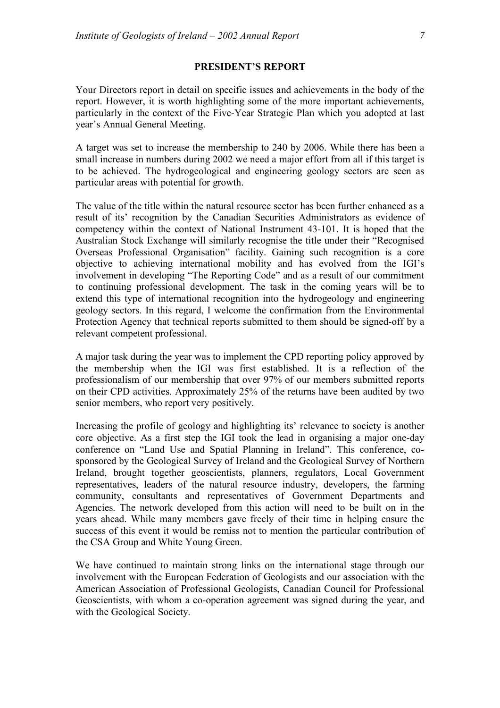#### **PRESIDENT'S REPORT**

Your Directors report in detail on specific issues and achievements in the body of the report. However, it is worth highlighting some of the more important achievements, particularly in the context of the Five-Year Strategic Plan which you adopted at last year's Annual General Meeting.

A target was set to increase the membership to 240 by 2006. While there has been a small increase in numbers during 2002 we need a major effort from all if this target is to be achieved. The hydrogeological and engineering geology sectors are seen as particular areas with potential for growth.

The value of the title within the natural resource sector has been further enhanced as a result of its' recognition by the Canadian Securities Administrators as evidence of competency within the context of National Instrument 43-101. It is hoped that the Australian Stock Exchange will similarly recognise the title under their "Recognised Overseas Professional Organisation" facility. Gaining such recognition is a core objective to achieving international mobility and has evolved from the IGI's involvement in developing "The Reporting Code" and as a result of our commitment to continuing professional development. The task in the coming years will be to extend this type of international recognition into the hydrogeology and engineering geology sectors. In this regard, I welcome the confirmation from the Environmental Protection Agency that technical reports submitted to them should be signed-off by a relevant competent professional.

A major task during the year was to implement the CPD reporting policy approved by the membership when the IGI was first established. It is a reflection of the professionalism of our membership that over 97% of our members submitted reports on their CPD activities. Approximately 25% of the returns have been audited by two senior members, who report very positively.

Increasing the profile of geology and highlighting its' relevance to society is another core objective. As a first step the IGI took the lead in organising a major one-day conference on "Land Use and Spatial Planning in Ireland". This conference, cosponsored by the Geological Survey of Ireland and the Geological Survey of Northern Ireland, brought together geoscientists, planners, regulators, Local Government representatives, leaders of the natural resource industry, developers, the farming community, consultants and representatives of Government Departments and Agencies. The network developed from this action will need to be built on in the years ahead. While many members gave freely of their time in helping ensure the success of this event it would be remiss not to mention the particular contribution of the CSA Group and White Young Green.

We have continued to maintain strong links on the international stage through our involvement with the European Federation of Geologists and our association with the American Association of Professional Geologists, Canadian Council for Professional Geoscientists, with whom a co-operation agreement was signed during the year, and with the Geological Society.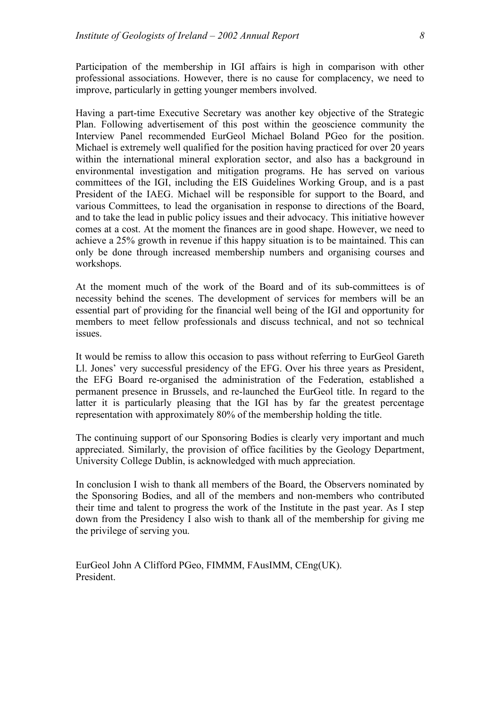Participation of the membership in IGI affairs is high in comparison with other professional associations. However, there is no cause for complacency, we need to improve, particularly in getting younger members involved.

Having a part-time Executive Secretary was another key objective of the Strategic Plan. Following advertisement of this post within the geoscience community the Interview Panel recommended EurGeol Michael Boland PGeo for the position. Michael is extremely well qualified for the position having practiced for over 20 years within the international mineral exploration sector, and also has a background in environmental investigation and mitigation programs. He has served on various committees of the IGI, including the EIS Guidelines Working Group, and is a past President of the IAEG. Michael will be responsible for support to the Board, and various Committees, to lead the organisation in response to directions of the Board, and to take the lead in public policy issues and their advocacy. This initiative however comes at a cost. At the moment the finances are in good shape. However, we need to achieve a 25% growth in revenue if this happy situation is to be maintained. This can only be done through increased membership numbers and organising courses and workshops.

At the moment much of the work of the Board and of its sub-committees is of necessity behind the scenes. The development of services for members will be an essential part of providing for the financial well being of the IGI and opportunity for members to meet fellow professionals and discuss technical, and not so technical issues.

It would be remiss to allow this occasion to pass without referring to EurGeol Gareth Ll. Jones' very successful presidency of the EFG. Over his three years as President, the EFG Board re-organised the administration of the Federation, established a permanent presence in Brussels, and re-launched the EurGeol title. In regard to the latter it is particularly pleasing that the IGI has by far the greatest percentage representation with approximately 80% of the membership holding the title.

The continuing support of our Sponsoring Bodies is clearly very important and much appreciated. Similarly, the provision of office facilities by the Geology Department, University College Dublin, is acknowledged with much appreciation.

In conclusion I wish to thank all members of the Board, the Observers nominated by the Sponsoring Bodies, and all of the members and non-members who contributed their time and talent to progress the work of the Institute in the past year. As I step down from the Presidency I also wish to thank all of the membership for giving me the privilege of serving you.

EurGeol John A Clifford PGeo, FIMMM, FAusIMM, CEng(UK). President.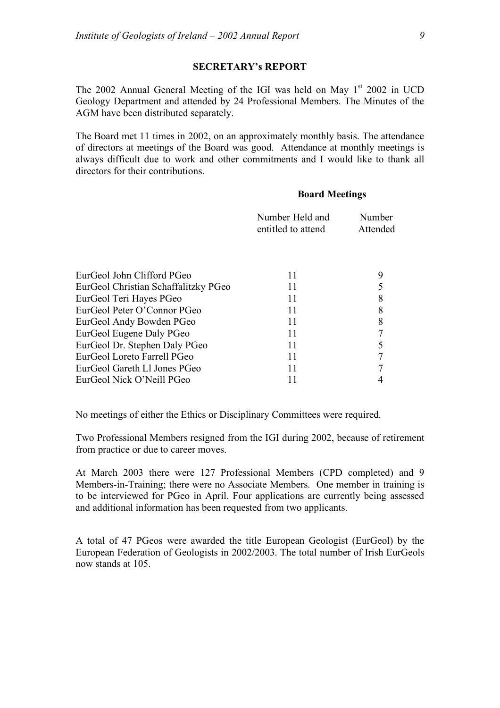#### **SECRETARY's REPORT**

The 2002 Annual General Meeting of the IGI was held on May 1st 2002 in UCD Geology Department and attended by 24 Professional Members. The Minutes of the AGM have been distributed separately.

The Board met 11 times in 2002, on an approximately monthly basis. The attendance of directors at meetings of the Board was good. Attendance at monthly meetings is always difficult due to work and other commitments and I would like to thank all directors for their contributions.

#### **Board Meetings**

| 9 |
|---|
| 5 |
| 8 |
| 8 |
| 8 |
|   |
|   |
|   |
|   |
|   |
|   |

No meetings of either the Ethics or Disciplinary Committees were required.

Two Professional Members resigned from the IGI during 2002, because of retirement from practice or due to career moves.

At March 2003 there were 127 Professional Members (CPD completed) and 9 Members-in-Training; there were no Associate Members. One member in training is to be interviewed for PGeo in April. Four applications are currently being assessed and additional information has been requested from two applicants.

A total of 47 PGeos were awarded the title European Geologist (EurGeol) by the European Federation of Geologists in 2002/2003. The total number of Irish EurGeols now stands at 105.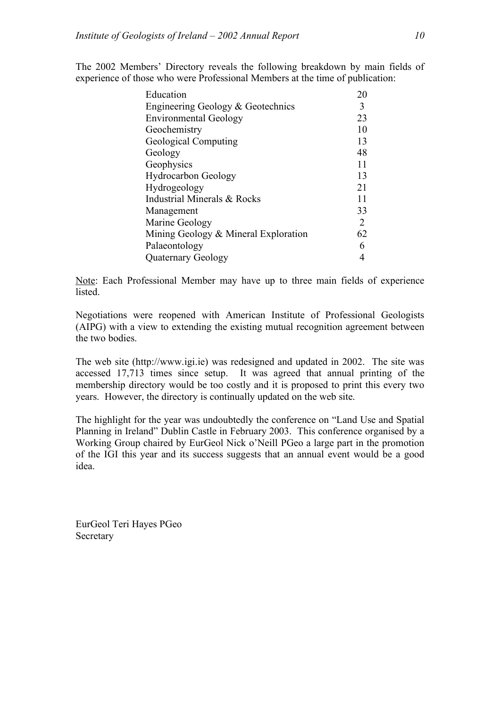The 2002 Members' Directory reveals the following breakdown by main fields of experience of those who were Professional Members at the time of publication:

| Education                            | 20 |
|--------------------------------------|----|
| Engineering Geology & Geotechnics    | 3  |
| <b>Environmental Geology</b>         | 23 |
| Geochemistry                         | 10 |
| Geological Computing                 | 13 |
| Geology                              | 48 |
| Geophysics                           | 11 |
| <b>Hydrocarbon Geology</b>           | 13 |
| Hydrogeology                         | 21 |
| Industrial Minerals & Rocks          | 11 |
| Management                           | 33 |
| Marine Geology                       | 2  |
| Mining Geology & Mineral Exploration | 62 |
| Palaeontology                        | 6  |
| Quaternary Geology                   | 4  |

Note: Each Professional Member may have up to three main fields of experience **listed** 

Negotiations were reopened with American Institute of Professional Geologists (AIPG) with a view to extending the existing mutual recognition agreement between the two bodies.

The web site (http://www.igi.ie) was redesigned and updated in 2002. The site was accessed 17,713 times since setup. It was agreed that annual printing of the membership directory would be too costly and it is proposed to print this every two years. However, the directory is continually updated on the web site.

The highlight for the year was undoubtedly the conference on "Land Use and Spatial Planning in Ireland" Dublin Castle in February 2003. This conference organised by a Working Group chaired by EurGeol Nick o'Neill PGeo a large part in the promotion of the IGI this year and its success suggests that an annual event would be a good idea.

EurGeol Teri Hayes PGeo Secretary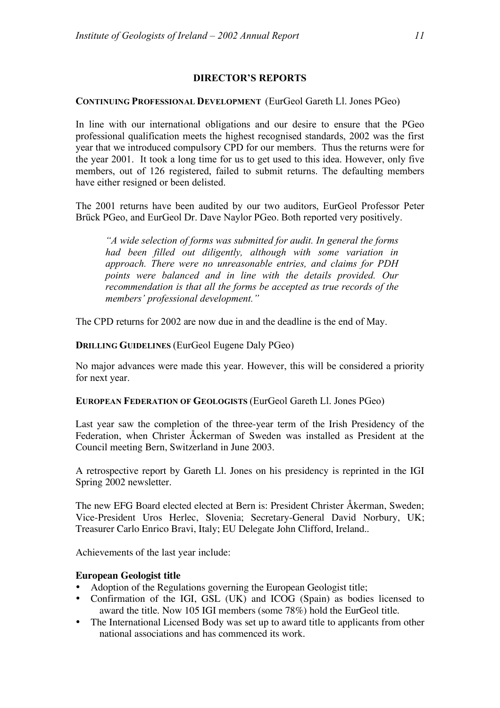# **DIRECTOR'S REPORTS**

#### **CONTINUING PROFESSIONAL DEVELOPMENT** (EurGeol Gareth Ll. Jones PGeo)

In line with our international obligations and our desire to ensure that the PGeo professional qualification meets the highest recognised standards, 2002 was the first year that we introduced compulsory CPD for our members. Thus the returns were for the year 2001. It took a long time for us to get used to this idea. However, only five members, out of 126 registered, failed to submit returns. The defaulting members have either resigned or been delisted.

The 2001 returns have been audited by our two auditors, EurGeol Professor Peter Brück PGeo, and EurGeol Dr. Dave Naylor PGeo. Both reported very positively.

*"A wide selection of forms was submitted for audit. In general the forms had been filled out diligently, although with some variation in approach. There were no unreasonable entries, and claims for PDH points were balanced and in line with the details provided. Our recommendation is that all the forms be accepted as true records of the members' professional development."*

The CPD returns for 2002 are now due in and the deadline is the end of May.

# **DRILLING GUIDELINES** (EurGeol Eugene Daly PGeo)

No major advances were made this year. However, this will be considered a priority for next year.

**EUROPEAN FEDERATION OF GEOLOGISTS** (EurGeol Gareth Ll. Jones PGeo)

Last year saw the completion of the three-year term of the Irish Presidency of the Federation, when Christer Åckerman of Sweden was installed as President at the Council meeting Bern, Switzerland in June 2003.

A retrospective report by Gareth Ll. Jones on his presidency is reprinted in the IGI Spring 2002 newsletter.

The new EFG Board elected elected at Bern is: President Christer Åkerman, Sweden; Vice-President Uros Herlec, Slovenia; Secretary-General David Norbury, UK; Treasurer Carlo Enrico Bravi, Italy; EU Delegate John Clifford, Ireland..

Achievements of the last year include:

# **European Geologist title**

- Adoption of the Regulations governing the European Geologist title;
- Confirmation of the IGI, GSL (UK) and ICOG (Spain) as bodies licensed to award the title. Now 105 IGI members (some 78%) hold the EurGeol title.
- The International Licensed Body was set up to award title to applicants from other national associations and has commenced its work.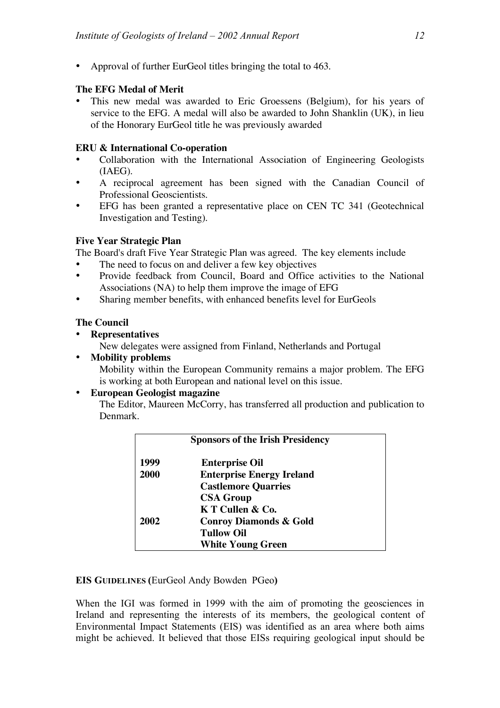• Approval of further EurGeol titles bringing the total to 463.

# **The EFG Medal of Merit**

This new medal was awarded to Eric Groessens (Belgium), for his years of service to the EFG. A medal will also be awarded to John Shanklin (UK), in lieu of the Honorary EurGeol title he was previously awarded

# **ERU & International Co-operation**

- Collaboration with the International Association of Engineering Geologists (IAEG).
- A reciprocal agreement has been signed with the Canadian Council of Professional Geoscientists.
- EFG has been granted a representative place on CEN TC 341 (Geotechnical Investigation and Testing).

# **Five Year Strategic Plan**

The Board's draft Five Year Strategic Plan was agreed. The key elements include

- The need to focus on and deliver a few key objectives<br>• Provide feedback from Council Board and Office
- Provide feedback from Council, Board and Office activities to the National Associations (NA) to help them improve the image of EFG
- Sharing member benefits, with enhanced benefits level for EurGeols

# **The Council**

• **Representatives**

New delegates were assigned from Finland, Netherlands and Portugal

• **Mobility problems**

Mobility within the European Community remains a major problem. The EFG is working at both European and national level on this issue.

# • **European Geologist magazine**

The Editor, Maureen McCorry, has transferred all production and publication to Denmark.

| <b>Sponsors of the Irish Presidency</b> |                                   |  |
|-----------------------------------------|-----------------------------------|--|
| 1999                                    | <b>Enterprise Oil</b>             |  |
| 2000                                    | <b>Enterprise Energy Ireland</b>  |  |
|                                         | <b>Castlemore Quarries</b>        |  |
|                                         | <b>CSA Group</b>                  |  |
|                                         | K T Cullen & Co.                  |  |
| 2002                                    | <b>Conroy Diamonds &amp; Gold</b> |  |
|                                         | <b>Tullow Oil</b>                 |  |
|                                         | <b>White Young Green</b>          |  |

#### **EIS GUIDELINES (**EurGeol Andy Bowden PGeo**)**

When the IGI was formed in 1999 with the aim of promoting the geosciences in Ireland and representing the interests of its members, the geological content of Environmental Impact Statements (EIS) was identified as an area where both aims might be achieved. It believed that those EISs requiring geological input should be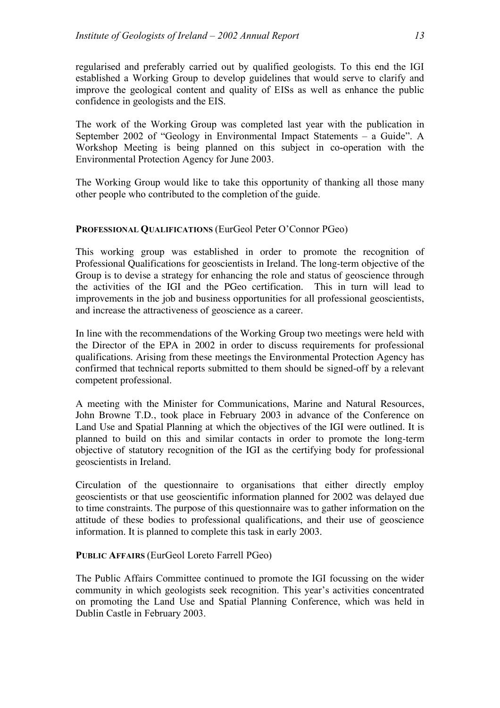regularised and preferably carried out by qualified geologists. To this end the IGI established a Working Group to develop guidelines that would serve to clarify and improve the geological content and quality of EISs as well as enhance the public confidence in geologists and the EIS.

The work of the Working Group was completed last year with the publication in September 2002 of "Geology in Environmental Impact Statements – a Guide". A Workshop Meeting is being planned on this subject in co-operation with the Environmental Protection Agency for June 2003.

The Working Group would like to take this opportunity of thanking all those many other people who contributed to the completion of the guide.

# **PROFESSIONAL QUALIFICATIONS** (EurGeol Peter O'Connor PGeo)

This working group was established in order to promote the recognition of Professional Qualifications for geoscientists in Ireland. The long-term objective of the Group is to devise a strategy for enhancing the role and status of geoscience through the activities of the IGI and the PGeo certification. This in turn will lead to improvements in the job and business opportunities for all professional geoscientists, and increase the attractiveness of geoscience as a career.

In line with the recommendations of the Working Group two meetings were held with the Director of the EPA in 2002 in order to discuss requirements for professional qualifications. Arising from these meetings the Environmental Protection Agency has confirmed that technical reports submitted to them should be signed-off by a relevant competent professional.

A meeting with the Minister for Communications, Marine and Natural Resources, John Browne T.D., took place in February 2003 in advance of the Conference on Land Use and Spatial Planning at which the objectives of the IGI were outlined. It is planned to build on this and similar contacts in order to promote the long-term objective of statutory recognition of the IGI as the certifying body for professional geoscientists in Ireland.

Circulation of the questionnaire to organisations that either directly employ geoscientists or that use geoscientific information planned for 2002 was delayed due to time constraints. The purpose of this questionnaire was to gather information on the attitude of these bodies to professional qualifications, and their use of geoscience information. It is planned to complete this task in early 2003.

# **PUBLIC AFFAIRS** (EurGeol Loreto Farrell PGeo)

The Public Affairs Committee continued to promote the IGI focussing on the wider community in which geologists seek recognition. This year's activities concentrated on promoting the Land Use and Spatial Planning Conference, which was held in Dublin Castle in February 2003.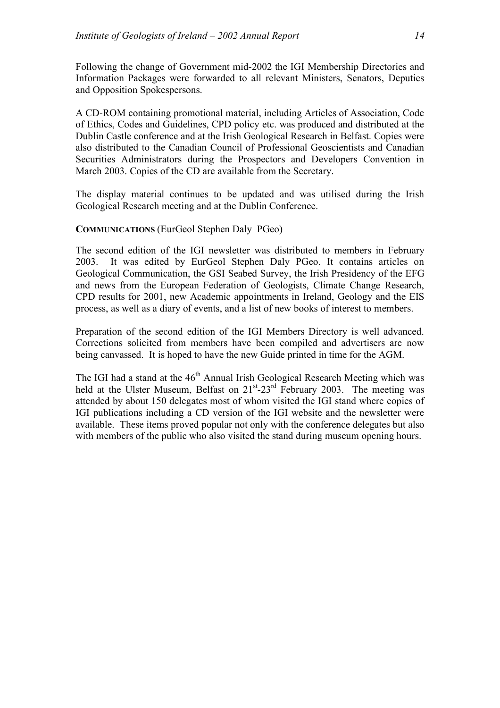Following the change of Government mid-2002 the IGI Membership Directories and Information Packages were forwarded to all relevant Ministers, Senators, Deputies and Opposition Spokespersons.

A CD-ROM containing promotional material, including Articles of Association, Code of Ethics, Codes and Guidelines, CPD policy etc. was produced and distributed at the Dublin Castle conference and at the Irish Geological Research in Belfast. Copies were also distributed to the Canadian Council of Professional Geoscientists and Canadian Securities Administrators during the Prospectors and Developers Convention in March 2003. Copies of the CD are available from the Secretary.

The display material continues to be updated and was utilised during the Irish Geological Research meeting and at the Dublin Conference.

#### **COMMUNICATIONS** (EurGeol Stephen Daly PGeo)

The second edition of the IGI newsletter was distributed to members in February 2003. It was edited by EurGeol Stephen Daly PGeo. It contains articles on Geological Communication, the GSI Seabed Survey, the Irish Presidency of the EFG and news from the European Federation of Geologists, Climate Change Research, CPD results for 2001, new Academic appointments in Ireland, Geology and the EIS process, as well as a diary of events, and a list of new books of interest to members.

Preparation of the second edition of the IGI Members Directory is well advanced. Corrections solicited from members have been compiled and advertisers are now being canvassed. It is hoped to have the new Guide printed in time for the AGM.

The IGI had a stand at the 46<sup>th</sup> Annual Irish Geological Research Meeting which was held at the Ulster Museum, Belfast on  $21^{st}$ - $23^{rd}$  February 2003. The meeting was attended by about 150 delegates most of whom visited the IGI stand where copies of IGI publications including a CD version of the IGI website and the newsletter were available. These items proved popular not only with the conference delegates but also with members of the public who also visited the stand during museum opening hours.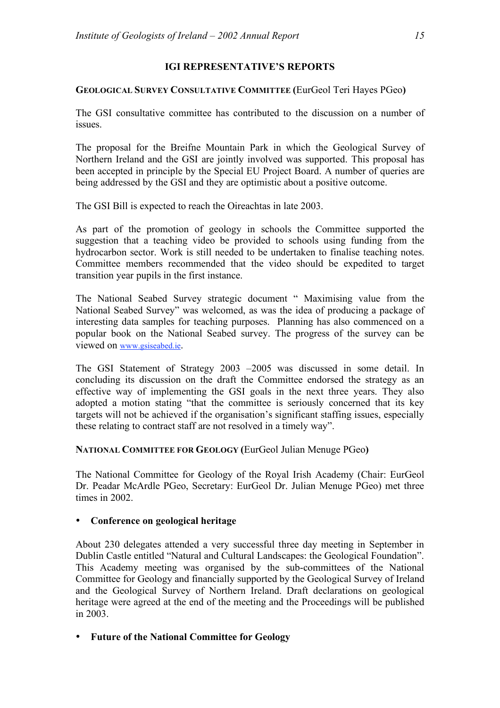# **IGI REPRESENTATIVE'S REPORTS**

# **GEOLOGICAL SURVEY CONSULTATIVE COMMITTEE (**EurGeol Teri Hayes PGeo**)**

The GSI consultative committee has contributed to the discussion on a number of issues.

The proposal for the Breifne Mountain Park in which the Geological Survey of Northern Ireland and the GSI are jointly involved was supported. This proposal has been accepted in principle by the Special EU Project Board. A number of queries are being addressed by the GSI and they are optimistic about a positive outcome.

The GSI Bill is expected to reach the Oireachtas in late 2003.

As part of the promotion of geology in schools the Committee supported the suggestion that a teaching video be provided to schools using funding from the hydrocarbon sector. Work is still needed to be undertaken to finalise teaching notes. Committee members recommended that the video should be expedited to target transition year pupils in the first instance.

The National Seabed Survey strategic document " Maximising value from the National Seabed Survey" was welcomed, as was the idea of producing a package of interesting data samples for teaching purposes. Planning has also commenced on a popular book on the National Seabed survey. The progress of the survey can be viewed on www.gsiseabed.ie.

The GSI Statement of Strategy 2003 –2005 was discussed in some detail. In concluding its discussion on the draft the Committee endorsed the strategy as an effective way of implementing the GSI goals in the next three years. They also adopted a motion stating "that the committee is seriously concerned that its key targets will not be achieved if the organisation's significant staffing issues, especially these relating to contract staff are not resolved in a timely way".

# **NATIONAL COMMITTEE FOR GEOLOGY (**EurGeol Julian Menuge PGeo**)**

The National Committee for Geology of the Royal Irish Academy (Chair: EurGeol Dr. Peadar McArdle PGeo, Secretary: EurGeol Dr. Julian Menuge PGeo) met three times in 2002.

# • **Conference on geological heritage**

About 230 delegates attended a very successful three day meeting in September in Dublin Castle entitled "Natural and Cultural Landscapes: the Geological Foundation". This Academy meeting was organised by the sub-committees of the National Committee for Geology and financially supported by the Geological Survey of Ireland and the Geological Survey of Northern Ireland. Draft declarations on geological heritage were agreed at the end of the meeting and the Proceedings will be published in 2003.

# • **Future of the National Committee for Geology**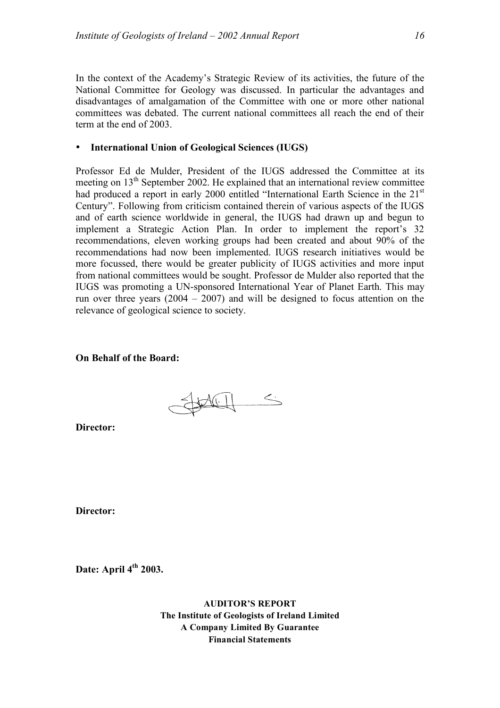In the context of the Academy's Strategic Review of its activities, the future of the National Committee for Geology was discussed. In particular the advantages and disadvantages of amalgamation of the Committee with one or more other national committees was debated. The current national committees all reach the end of their term at the end of 2003.

# • **International Union of Geological Sciences (IUGS)**

Professor Ed de Mulder, President of the IUGS addressed the Committee at its meeting on  $13<sup>th</sup>$  September 2002. He explained that an international review committee had produced a report in early 2000 entitled "International Earth Science in the 21<sup>st</sup> Century". Following from criticism contained therein of various aspects of the IUGS and of earth science worldwide in general, the IUGS had drawn up and begun to implement a Strategic Action Plan. In order to implement the report's 32 recommendations, eleven working groups had been created and about 90% of the recommendations had now been implemented. IUGS research initiatives would be more focussed, there would be greater publicity of IUGS activities and more input from national committees would be sought. Professor de Mulder also reported that the IUGS was promoting a UN-sponsored International Year of Planet Earth. This may run over three years  $(2004 - 2007)$  and will be designed to focus attention on the relevance of geological science to society.

# **On Behalf of the Board:**

Space 5

**Director:**

**Director:**

**Date: April 4th 2003.**

**AUDITOR'S REPORT The Institute of Geologists of Ireland Limited A Company Limited By Guarantee Financial Statements**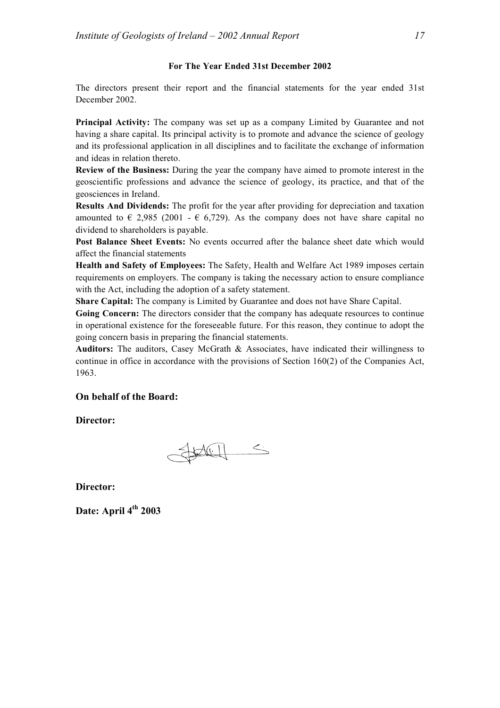#### **For The Year Ended 31st December 2002**

The directors present their report and the financial statements for the year ended 31st December 2002.

**Principal Activity:** The company was set up as a company Limited by Guarantee and not having a share capital. Its principal activity is to promote and advance the science of geology and its professional application in all disciplines and to facilitate the exchange of information and ideas in relation thereto.

**Review of the Business:** During the year the company have aimed to promote interest in the geoscientific professions and advance the science of geology, its practice, and that of the geosciences in Ireland.

**Results And Dividends:** The profit for the year after providing for depreciation and taxation amounted to  $\epsilon$  2,985 (2001 -  $\epsilon$  6,729). As the company does not have share capital no dividend to shareholders is payable.

**Post Balance Sheet Events:** No events occurred after the balance sheet date which would affect the financial statements

**Health and Safety of Employees:** The Safety, Health and Welfare Act 1989 imposes certain requirements on employers. The company is taking the necessary action to ensure compliance with the Act, including the adoption of a safety statement.

**Share Capital:** The company is Limited by Guarantee and does not have Share Capital.

**Going Concern:** The directors consider that the company has adequate resources to continue in operational existence for the foreseeable future. For this reason, they continue to adopt the going concern basis in preparing the financial statements.

**Auditors:** The auditors, Casey McGrath & Associates, have indicated their willingness to continue in office in accordance with the provisions of Section 160(2) of the Companies Act, 1963.

#### **On behalf of the Board:**

**Director:**

Juliel S

**Director:**

**Date: April 4th 2003**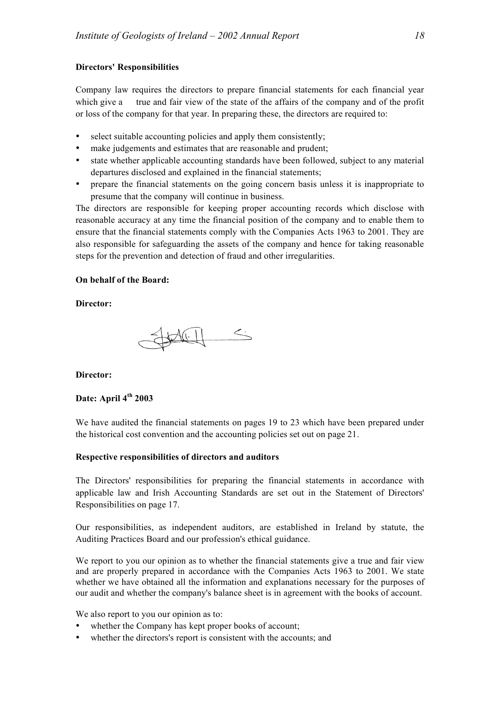#### **Directors' Responsibilities**

Company law requires the directors to prepare financial statements for each financial year which give a true and fair view of the state of the affairs of the company and of the profit or loss of the company for that year. In preparing these, the directors are required to:

- select suitable accounting policies and apply them consistently:
- make judgements and estimates that are reasonable and prudent;
- state whether applicable accounting standards have been followed, subject to any material departures disclosed and explained in the financial statements;
- prepare the financial statements on the going concern basis unless it is inappropriate to presume that the company will continue in business.

The directors are responsible for keeping proper accounting records which disclose with reasonable accuracy at any time the financial position of the company and to enable them to ensure that the financial statements comply with the Companies Acts 1963 to 2001. They are also responsible for safeguarding the assets of the company and hence for taking reasonable steps for the prevention and detection of fraud and other irregularities.

#### **On behalf of the Board:**

#### **Director:**



#### **Director:**

### **Date: April 4th 2003**

We have audited the financial statements on pages 19 to 23 which have been prepared under the historical cost convention and the accounting policies set out on page 21.

#### **Respective responsibilities of directors and auditors**

The Directors' responsibilities for preparing the financial statements in accordance with applicable law and Irish Accounting Standards are set out in the Statement of Directors' Responsibilities on page 17.

Our responsibilities, as independent auditors, are established in Ireland by statute, the Auditing Practices Board and our profession's ethical guidance.

We report to you our opinion as to whether the financial statements give a true and fair view and are properly prepared in accordance with the Companies Acts 1963 to 2001. We state whether we have obtained all the information and explanations necessary for the purposes of our audit and whether the company's balance sheet is in agreement with the books of account.

We also report to you our opinion as to:

- whether the Company has kept proper books of account;
- whether the directors's report is consistent with the accounts; and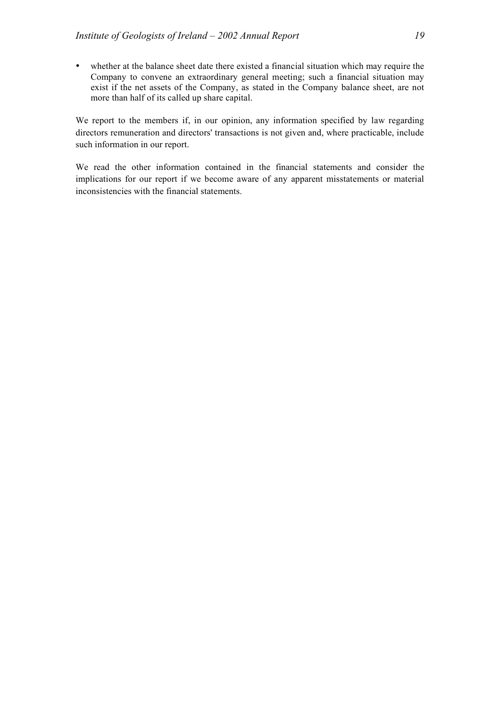• whether at the balance sheet date there existed a financial situation which may require the Company to convene an extraordinary general meeting; such a financial situation may exist if the net assets of the Company, as stated in the Company balance sheet, are not more than half of its called up share capital.

We report to the members if, in our opinion, any information specified by law regarding directors remuneration and directors' transactions is not given and, where practicable, include such information in our report.

We read the other information contained in the financial statements and consider the implications for our report if we become aware of any apparent misstatements or material inconsistencies with the financial statements.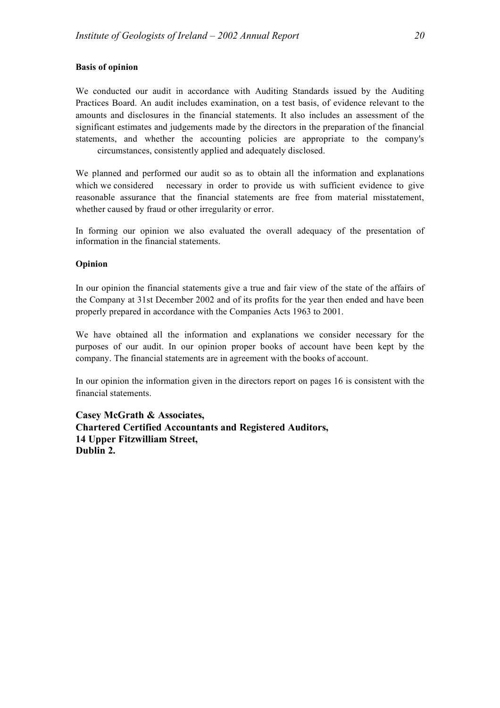#### **Basis of opinion**

We conducted our audit in accordance with Auditing Standards issued by the Auditing Practices Board. An audit includes examination, on a test basis, of evidence relevant to the amounts and disclosures in the financial statements. It also includes an assessment of the significant estimates and judgements made by the directors in the preparation of the financial statements, and whether the accounting policies are appropriate to the company's circumstances, consistently applied and adequately disclosed.

We planned and performed our audit so as to obtain all the information and explanations which we considered necessary in order to provide us with sufficient evidence to give reasonable assurance that the financial statements are free from material misstatement, whether caused by fraud or other irregularity or error.

In forming our opinion we also evaluated the overall adequacy of the presentation of information in the financial statements.

#### **Opinion**

In our opinion the financial statements give a true and fair view of the state of the affairs of the Company at 31st December 2002 and of its profits for the year then ended and have been properly prepared in accordance with the Companies Acts 1963 to 2001.

We have obtained all the information and explanations we consider necessary for the purposes of our audit. In our opinion proper books of account have been kept by the company. The financial statements are in agreement with the books of account.

In our opinion the information given in the directors report on pages 16 is consistent with the financial statements.

**Casey McGrath & Associates, Chartered Certified Accountants and Registered Auditors, 14 Upper Fitzwilliam Street, Dublin 2.**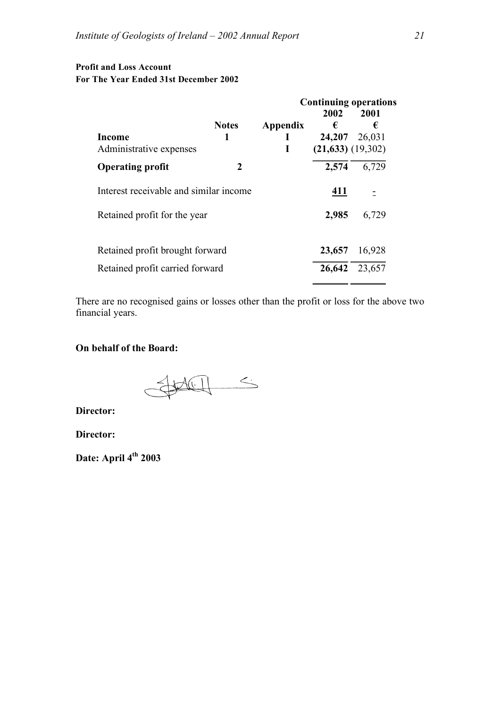# **Profit and Loss Account For The Year Ended 31st December 2002**

|                                        |              |              | <b>Continuing operations</b> |               |
|----------------------------------------|--------------|--------------|------------------------------|---------------|
|                                        |              |              | 2002                         | 2001          |
|                                        | <b>Notes</b> | Appendix     | €                            | €             |
| Income                                 | 1            | $\mathbf{I}$ | 24,207 26,031                |               |
| Administrative expenses                |              | $\mathbf I$  | (21, 633) (19, 302)          |               |
| <b>Operating profit</b>                | 2            |              | 2,574                        | 6,729         |
| Interest receivable and similar income |              |              | 411                          |               |
| Retained profit for the year           |              |              | 2,985                        | 6,729         |
| Retained profit brought forward        |              |              | 23,657                       | 16,928        |
|                                        |              |              |                              |               |
| Retained profit carried forward        |              |              |                              | 26,642 23,657 |

There are no recognised gains or losses other than the profit or loss for the above two financial years.

# **On behalf of the Board:**

SHACIL S

**Director:**

**Director:**

**Date: April 4th 2003**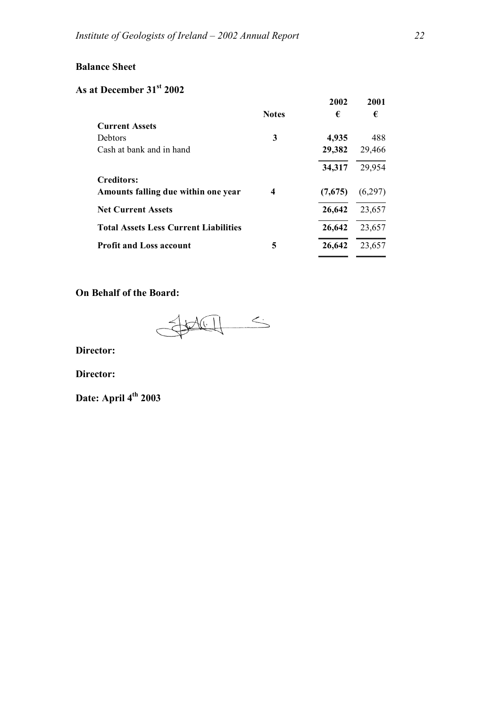# **Balance Sheet**

# **As at December 31st 2002**

|                                              |              | 2002    | 2001    |
|----------------------------------------------|--------------|---------|---------|
|                                              | <b>Notes</b> | €       | €       |
| <b>Current Assets</b>                        |              |         |         |
| <b>Debtors</b>                               | 3            | 4,935   | 488     |
| Cash at bank and in hand                     |              | 29,382  | 29,466  |
|                                              |              | 34,317  | 29,954  |
| <b>Creditors:</b>                            |              |         |         |
| Amounts falling due within one year          | 4            | (7,675) | (6,297) |
| <b>Net Current Assets</b>                    |              | 26,642  | 23,657  |
| <b>Total Assets Less Current Liabilities</b> |              | 26,642  | 23,657  |
| <b>Profit and Loss account</b>               | 5            | 26,642  | 23,657  |

# **On Behalf of the Board:**

SHELL S  $\overline{C}$ 

**Director:**

**Director:**

**Date: April 4th 2003**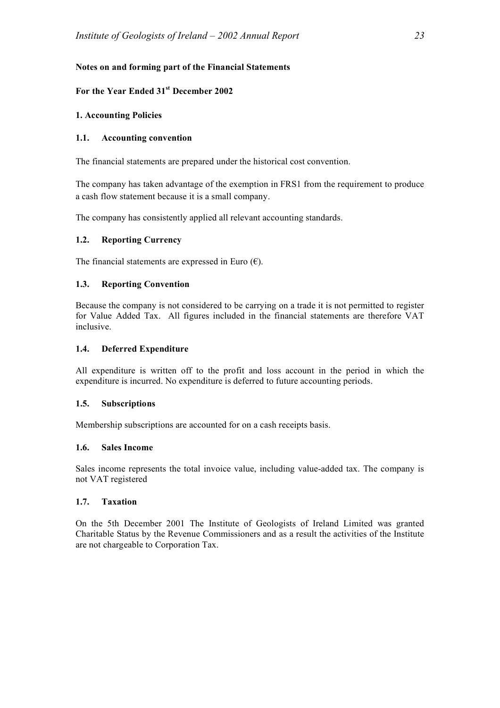# **Notes on and forming part of the Financial Statements**

#### **For the Year Ended 31st December 2002**

#### **1. Accounting Policies**

#### **1.1. Accounting convention**

The financial statements are prepared under the historical cost convention.

The company has taken advantage of the exemption in FRS1 from the requirement to produce a cash flow statement because it is a small company.

The company has consistently applied all relevant accounting standards.

# **1.2. Reporting Currency**

The financial statements are expressed in Euro  $(\epsilon)$ .

# **1.3. Reporting Convention**

Because the company is not considered to be carrying on a trade it is not permitted to register for Value Added Tax. All figures included in the financial statements are therefore VAT inclusive.

#### **1.4. Deferred Expenditure**

All expenditure is written off to the profit and loss account in the period in which the expenditure is incurred. No expenditure is deferred to future accounting periods.

#### **1.5. Subscriptions**

Membership subscriptions are accounted for on a cash receipts basis.

#### **1.6. Sales Income**

Sales income represents the total invoice value, including value-added tax. The company is not VAT registered

#### **1.7. Taxation**

On the 5th December 2001 The Institute of Geologists of Ireland Limited was granted Charitable Status by the Revenue Commissioners and as a result the activities of the Institute are not chargeable to Corporation Tax.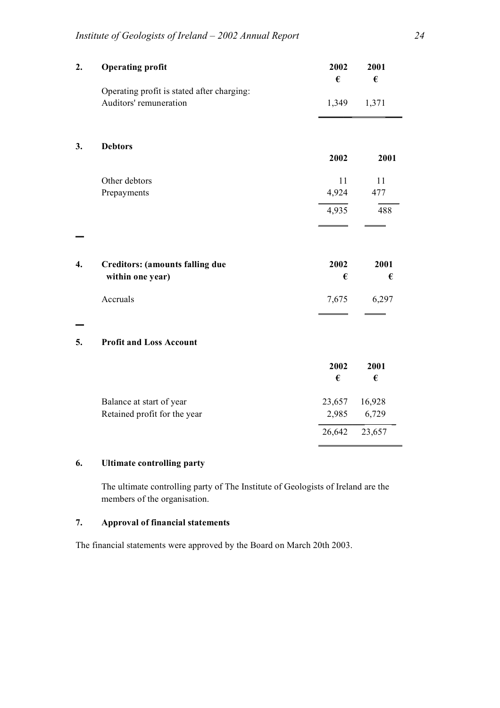| 2. | <b>Operating profit</b>                    | 2002<br>€ | 2001<br>€ |
|----|--------------------------------------------|-----------|-----------|
|    | Operating profit is stated after charging: |           |           |
|    | Auditors' remuneration                     | 1,349     | 1,371     |
|    |                                            |           |           |
| 3. | <b>Debtors</b>                             | 2002      | 2001      |
|    |                                            |           |           |
|    | Other debtors                              | 11        | 11        |
|    | Prepayments                                | 4,924     | 477       |
|    |                                            | 4,935     | 488       |
|    |                                            |           |           |
| 4. | <b>Creditors: (amounts falling due</b>     | 2002      | 2001      |
|    | within one year)                           | €         | €         |
|    | Accruals                                   | 7,675     | 6,297     |
|    |                                            |           |           |
| 5. | <b>Profit and Loss Account</b>             |           |           |
|    |                                            | 2002      | 2001      |
|    |                                            | €         | €         |
|    | Balance at start of year                   | 23,657    | 16,928    |
|    | Retained profit for the year               | 2,985     | 6,729     |
|    |                                            | 26,642    | 23,657    |
|    |                                            |           |           |

# **6. Ultimate controlling party**

The ultimate controlling party of The Institute of Geologists of Ireland are the members of the organisation.

# **7. Approval of financial statements**

The financial statements were approved by the Board on March 20th 2003.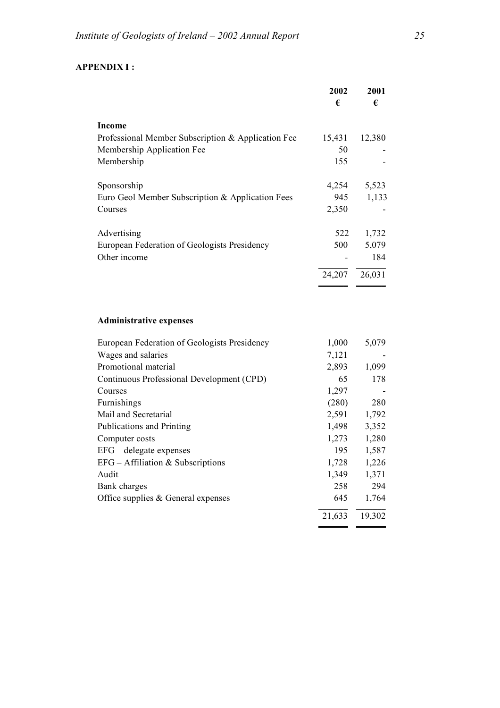# **APPENDIX I :**

|                                                                                  | 2002<br>€    | 2001<br>€    |
|----------------------------------------------------------------------------------|--------------|--------------|
|                                                                                  |              |              |
| Income                                                                           |              |              |
| Professional Member Subscription & Application Fee<br>Membership Application Fee | 15,431<br>50 | 12,380       |
| Membership                                                                       | 155          |              |
|                                                                                  |              |              |
| Sponsorship                                                                      | 4,254        | 5,523        |
| Euro Geol Member Subscription & Application Fees                                 | 945          | 1,133        |
| Courses                                                                          | 2,350        |              |
|                                                                                  |              |              |
| Advertising                                                                      | 522          | 1,732        |
| European Federation of Geologists Presidency                                     | 500          | 5,079        |
| Other income                                                                     |              | 184          |
|                                                                                  | 24,207       | 26,031       |
|                                                                                  |              |              |
|                                                                                  |              |              |
| <b>Administrative expenses</b>                                                   |              |              |
| European Federation of Geologists Presidency                                     | 1,000        | 5,079        |
| Wages and salaries                                                               | 7,121        |              |
| Promotional material                                                             | 2,893        | 1,099        |
| Continuous Professional Development (CPD)                                        | 65           | 178          |
| Courses                                                                          | 1,297        |              |
| Furnishings                                                                      | (280)        | 280          |
| Mail and Secretarial                                                             | 2,591        | 1,792        |
| Publications and Printing                                                        | 1,498        | 3,352        |
| Computer costs                                                                   | 1,273        | 1,280        |
| EFG – delegate expenses                                                          | 195          | 1,587        |
| $EFG - Affiliation & Subscripts$                                                 | 1,728        | 1,226        |
| Audit<br><b>Bank</b> charges                                                     | 1,349<br>258 | 1,371<br>294 |
| Office supplies & General expenses                                               | 645          | 1,764        |
|                                                                                  |              |              |
|                                                                                  | 21,633       | 19,302       |